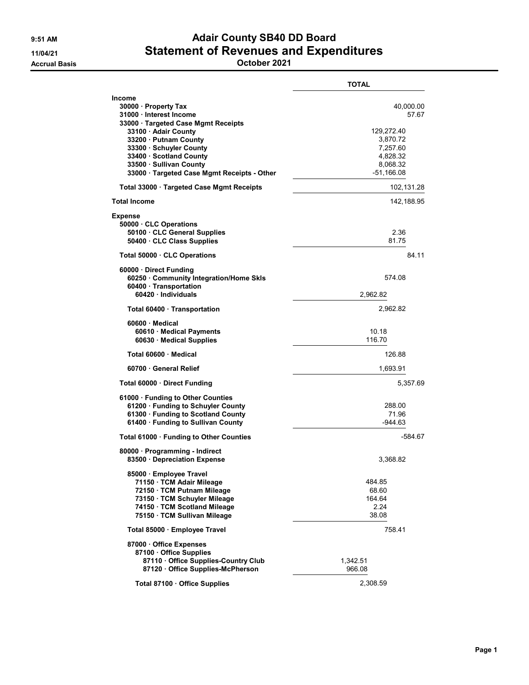## 9:51 AM **Adair County SB40 DD Board** 11/04/21 Statement of Revenues and Expenditures

Accrual Basis October 2021

|                                                                                                                                                                                                                                                                                          | <b>TOTAL</b>                                                                                     |
|------------------------------------------------------------------------------------------------------------------------------------------------------------------------------------------------------------------------------------------------------------------------------------------|--------------------------------------------------------------------------------------------------|
| <b>Income</b><br>30000 · Property Tax<br>31000 · Interest Income<br>33000 · Targeted Case Mgmt Receipts<br>33100 · Adair County<br>33200 · Putnam County<br>33300 · Schuyler County<br>33400 · Scotland County<br>33500 · Sullivan County<br>33000 · Targeted Case Mgmt Receipts - Other | 40,000.00<br>57.67<br>129,272.40<br>3,870.72<br>7,257.60<br>4,828.32<br>8,068.32<br>$-51,166.08$ |
| Total 33000 Targeted Case Mgmt Receipts                                                                                                                                                                                                                                                  | 102,131.28                                                                                       |
| <b>Total Income</b>                                                                                                                                                                                                                                                                      | 142,188.95                                                                                       |
| <b>Expense</b><br>50000 · CLC Operations<br>50100 · CLC General Supplies<br>50400 · CLC Class Supplies                                                                                                                                                                                   | 2.36<br>81.75                                                                                    |
| Total 50000 CLC Operations                                                                                                                                                                                                                                                               | 84.11                                                                                            |
| 60000 · Direct Funding<br>60250 · Community Integration/Home Skls<br>60400 · Transportation<br>60420 · Individuals                                                                                                                                                                       | 574.08<br>2,962.82                                                                               |
| Total 60400 Transportation                                                                                                                                                                                                                                                               | 2,962.82                                                                                         |
| 60600 Medical<br>60610 · Medical Payments<br>60630 Medical Supplies                                                                                                                                                                                                                      | 10.18<br>116.70                                                                                  |
| Total 60600 Medical                                                                                                                                                                                                                                                                      | 126.88                                                                                           |
| 60700 General Relief                                                                                                                                                                                                                                                                     | 1,693.91                                                                                         |
| Total 60000 Direct Funding                                                                                                                                                                                                                                                               | 5,357.69                                                                                         |
| 61000 · Funding to Other Counties<br>61200 · Funding to Schuyler County<br>61300 · Funding to Scotland County<br>61400 · Funding to Sullivan County                                                                                                                                      | 288.00<br>71.96<br>-944.63                                                                       |
| Total 61000 · Funding to Other Counties                                                                                                                                                                                                                                                  | -584.67                                                                                          |
| 80000 · Programming - Indirect<br>83500 Depreciation Expense                                                                                                                                                                                                                             | 3,368.82                                                                                         |
| 85000 · Employee Travel<br>71150 · TCM Adair Mileage<br>72150 · TCM Putnam Mileage<br>73150 · TCM Schuyler Mileage<br>74150 · TCM Scotland Mileage<br>75150 · TCM Sullivan Mileage                                                                                                       | 484.85<br>68.60<br>164.64<br>2.24<br>38.08                                                       |
| Total 85000 · Employee Travel                                                                                                                                                                                                                                                            | 758.41                                                                                           |
| 87000 Office Expenses<br>87100 Office Supplies<br>87110 Office Supplies-Country Club<br>87120 Office Supplies-McPherson                                                                                                                                                                  | 1,342.51<br>966.08                                                                               |
| Total 87100 · Office Supplies                                                                                                                                                                                                                                                            | 2,308.59                                                                                         |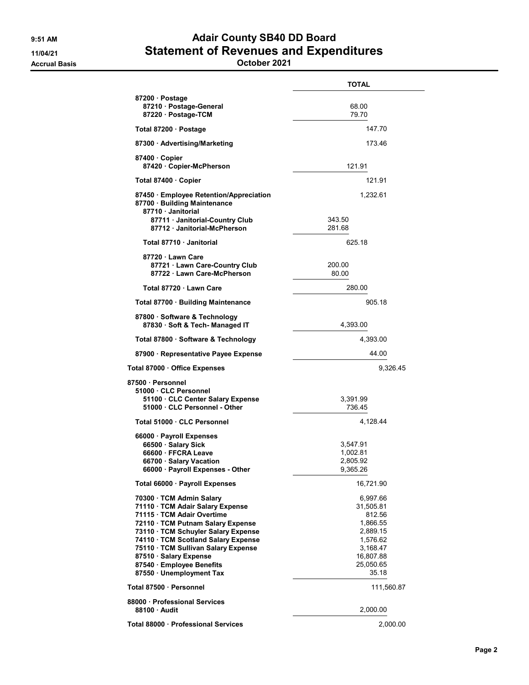## 9:51 AM **Adair County SB40 DD Board** 11/04/21 Statement of Revenues and Expenditures

Accrual Basis October 2021

|                                                                                           | <b>TOTAL</b>       |
|-------------------------------------------------------------------------------------------|--------------------|
| 87200 · Postage                                                                           |                    |
| 87210 Postage-General                                                                     | 68.00              |
| 87220 · Postage-TCM                                                                       | 79.70              |
| Total 87200 · Postage                                                                     | 147.70             |
| 87300 Advertising/Marketing                                                               | 173.46             |
| 87400 Copier                                                                              |                    |
| 87420 Copier-McPherson                                                                    | 121.91             |
| Total 87400 · Copier                                                                      | 121.91             |
| 87450 Employee Retention/Appreciation<br>87700 · Building Maintenance<br>87710 Janitorial | 1,232.61           |
| 87711 · Janitorial-Country Club<br>87712 Janitorial-McPherson                             | 343.50<br>281.68   |
| Total 87710 · Janitorial                                                                  | 625.18             |
| 87720 · Lawn Care                                                                         |                    |
| 87721 · Lawn Care-Country Club<br>87722 · Lawn Care-McPherson                             | 200.00<br>80.00    |
| Total 87720 · Lawn Care                                                                   | 280.00             |
| Total 87700 · Building Maintenance                                                        | 905.18             |
| 87800 · Software & Technology<br>87830 · Soft & Tech- Managed IT                          | 4,393.00           |
| Total 87800 · Software & Technology                                                       | 4,393.00           |
| 87900 · Representative Payee Expense                                                      | 44.00              |
| Total 87000 · Office Expenses                                                             | 9,326.45           |
| 87500 · Personnel                                                                         |                    |
| 51000 CLC Personnel<br>51100 · CLC Center Salary Expense<br>51000 · CLC Personnel - Other | 3,391.99<br>736.45 |
|                                                                                           |                    |
| Total 51000 · CLC Personnel                                                               | 4,128.44           |
| 66000 · Payroll Expenses<br>66500 · Salary Sick                                           | 3,547.91           |
| 66600 · FFCRA Leave                                                                       | 1,002.81           |
| 66700 · Salary Vacation                                                                   | 2,805.92           |
| 66000 · Payroll Expenses - Other                                                          | 9,365.26           |
| Total 66000 · Payroll Expenses                                                            | 16,721.90          |
| 70300 · TCM Admin Salary                                                                  | 6,997.66           |
| 71110 · TCM Adair Salary Expense                                                          | 31,505.81          |
| 71115 · TCM Adair Overtime                                                                | 812.56             |
| 72110 TCM Putnam Salary Expense                                                           | 1,866.55           |
| 73110 · TCM Schuyler Salary Expense                                                       | 2,889.15           |
| 74110 · TCM Scotland Salary Expense                                                       | 1,576.62           |
| 75110 · TCM Sullivan Salary Expense                                                       | 3,168.47           |
| 87510 · Salary Expense                                                                    | 16,807.88          |
| 87540 · Employee Benefits<br>87550 · Unemployment Tax                                     | 25,050.65<br>35.18 |
| Total 87500 · Personnel                                                                   | 111,560.87         |
| 88000 Professional Services                                                               |                    |
| 88100 Audit                                                                               | 2,000.00           |
| Total 88000 · Professional Services                                                       | 2,000.00           |
|                                                                                           |                    |